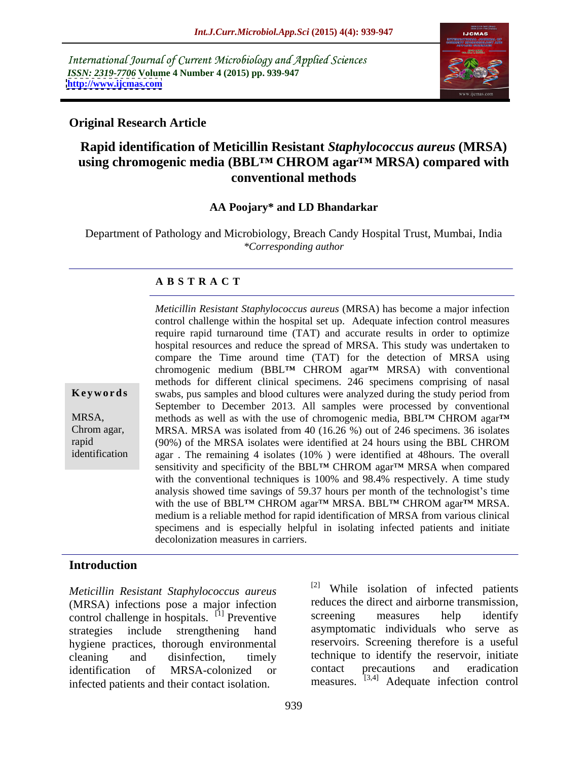International Journal of Current Microbiology and Applied Sciences *ISSN: 2319-7706* **Volume 4 Number 4 (2015) pp. 939-947 <http://www.ijcmas.com>**



### **Original Research Article**

# **Rapid identification of Meticillin Resistant** *Staphylococcus aureus* **(MRSA) using chromogenic media** (BBL<sup>TM</sup> CHROM **agar**<sup>TM</sup> MRSA) **compared** with **conventional methods**

### **AA Poojary\* and LD Bhandarkar**

Department of Pathology and Microbiology, Breach Candy Hospital Trust, Mumbai, India *\*Corresponding author*

### **A B S T R A C T**

identification

control challenge within the hospital set up. Adequate infection control measures require rapid turnaround time (TAT) and accurate results in order to optimize hospital resources and reduce the spread of MRSA. This study was undertaken to compare the Time around time (TAT) for the detection of MRSA using chromogenic medium (BBL<sup>TM</sup> CHROM agar<sup>TM</sup> MRSA) with conventional methods for different clinical specimens. 246 specimens comprising of nasal **Keywords** swabs, pus samples and blood cultures were analyzed during the study period from September to December 2013. All samples were processed by conventional MRSA, methods as well as with the use of chromogenic media, BBL<sup>TM</sup> CHROM agar<sup>TM</sup> MRSA. MRSA was isolated from 40 (16.26 %) out of 246 specimens. 36 isolates Chrom agar, (90%) of the MRSA isolates were identified at 24 hours using the BBL CHROM rapid agar . The remaining 4 isolates (10% ) were identified at 48hours. The overall sensitivity and specificity of the BBL<sup>TM</sup> CHROM agar<sup>TM</sup> MRSA when compared with the conventional techniques is 100% and 98.4% respectively. A time study analysis showed time savings of 59.37 hours per month of the technologist's time with the use of BBL™ CHROM agar<sup>™</sup> MRSA. BBL™ CHROM agar<sup>™</sup> MRSA. medium is a reliable method for rapid identification of MRSA from various clinical specimens and is especially helpful in isolating infected patients and initiate decolonization measures in carriers.

*Meticillin Resistant Staphylococcus aureus* (MRSA) has become a major infection

## **Introduction**

*Meticillin Resistant Staphylococcus aureus* (MRSA) infections pose a major infection reduces the direct and airborne transmission,<br>control challenge in hospitals  $[1]$  Preventive screening measures help identify control challenge in hospitals. <sup>[1]</sup> Preventive screening measures strategies include strengthening hand asymptomatic individuals who serve as hygiene practices, thorough environmental cleaning and disinfection, timely technique to identify the reservoir, initiate identification of MRSA-colonized or contact precautions and eradication infected patients and their contact isolation.

While isolation of infected patients reduces the direct and airborne transmission, screening measures help identify reservoirs. Screening therefore is a useful contact precautions and eradication measures.  $[3,4]$  Adequate infection control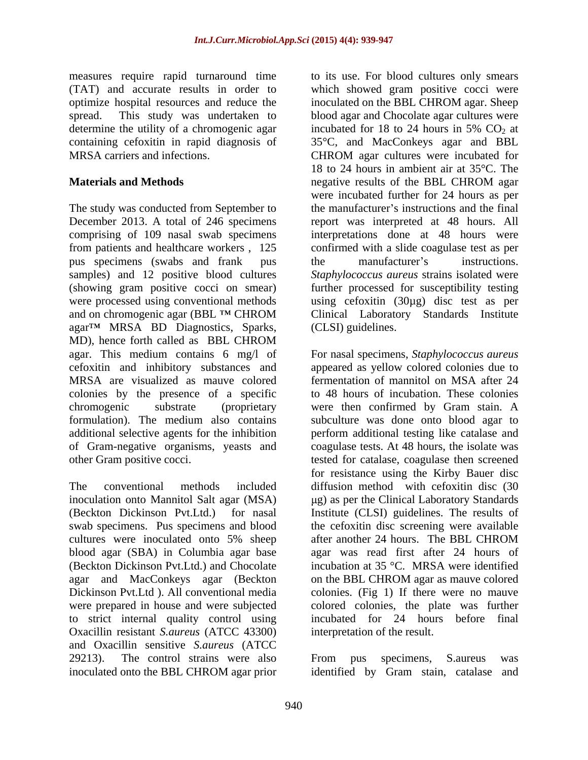determine the utility of a chromogenic agar incubated for 18 to 24 hours in 5% CO<sub>2</sub> at MRSA carriers and infections. The CHROM agar cultures were incubated for

The study was conducted from September to December 2013. A total of 246 specimens report was interpreted at 48 hours. All comprising of 109 nasal swab specimens interpretations done at 48 hours were from patients and healthcare workers , 125 confirmed with a slide coagulase test as per pus specimens (swabs and frank pus the manufacturer's instructions. samples) and 12 positive blood cultures *Staphylococcus aureus* strains isolated were (showing gram positive cocci on smear) further processed for susceptibility testing were processed using conventional methods using cefoxitin (30µg) disc test as per and on chromogenic agar (BBL ™ CHROM Clinical Laboratory Standards Institute agar<sup>TM</sup> MRSA BD Diagnostics, Sparks, MD), hence forth called as BBL CHROM agar. This medium contains 6 mg/l of For nasal specimens, *Staphylococcus aureus* cefoxitin and inhibitory substances and appeared as yellow colored colonies due to MRSA are visualized as mauve colored colonies by the presence of a specific chromogenic substrate (proprietary were then confirmed by Gram stain. A formulation). The medium also contains subculture was done onto blood agar to additional selective agents for the inhibition perform additional testing like catalase and of Gram-negative organisms, yeasts and coagulase tests. At 48 hours, the isolate was

The conventional methods included diffusion method with cefoxitin disc (30 inoculation onto Mannitol Salt agar (MSA) g) as per the Clinical Laboratory Standards (Beckton Dickinson Pvt.Ltd.) for nasal Institute (CLSI) guidelines. The results of swab specimens. Pus specimens and blood the cefoxitin disc screening were available cultures were inoculated onto 5% sheep after another 24 hours. The BBL CHROM blood agar (SBA) in Columbia agar base (Beckton Dickinson Pvt.Ltd.) and Chocolate agar and MacConkeys agar (Beckton Dickinson Pvt.Ltd ). All conventional media colonies. (Fig 1) If there were no mauve were prepared in house and were subjected to strict internal quality control using Oxacillin resistant *S.aureus* (ATCC 43300) and Oxacillin sensitive *S.aureus* (ATCC 29213). The control strains were also From pus specimens, S. aureus was

measures require rapid turnaround time to its use. For blood cultures only smears (TAT) and accurate results in order to which showed gram positive cocci were optimize hospital resources and reduce the inoculated on the BBL CHROM agar. Sheep spread. This study was undertaken to blood agar and Chocolate agar cultures were containing cefoxitin in rapid diagnosis of 35°C, and MacConkeys agar and BBL **Materials and Methods** negative results of the BBL CHROM agar incubated for 18 to 24 hours in 5%  $CO<sub>2</sub>$  at CHROM agar cultures were incubated for 18 to 24 hours in ambient air at 35°C. The negative results of the BBL CHROM agar were incubated further for 24 hours as per the manufacturer's instructions and the final the manufacturer's instructions. Clinical Laboratory Standards Institute (CLSI) guidelines.

other Gram positive cocci. tested for catalase, coagulase then screened fermentation of mannitol on MSA after 24 to 48 hours of incubation. These colonies for resistance using the Kirby Bauer disc after another 24 hours. The BBL CHROM agar was read first after 24 hours of incubation at 35 °C. MRSA were identified on the BBL CHROM agar as mauve colored colored colonies, the plate was further incubated for 24 hours before final interpretation of the result.

inoculated onto the BBL CHROM agar prior identified by Gram stain, catalase and From pus specimens, S.aureus was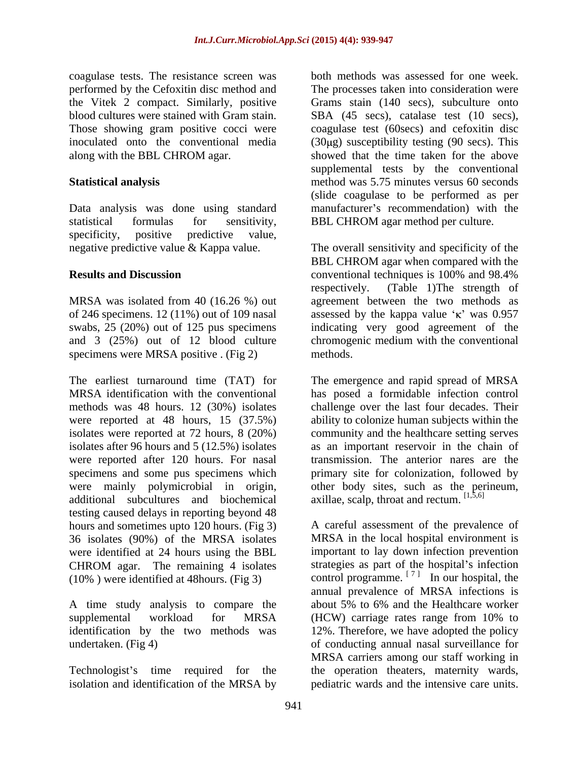coagulase tests. The resistance screen was the Vitek 2 compact. Similarly, positive Those showing gram positive cocci were

specificity, positive predictive value,

and 3 (25%) out of 12 blood culture specimens were MRSA positive . (Fig 2) methods.

The earliest turnaround time (TAT) for The emergence and rapid spread of MRSA MRSA identification with the conventional has posed a formidable infection control methods was 48 hours. 12 (30%) isolates challenge over the last four decades. Their were reported at 48 hours, 15 (37.5%) ability to colonize human subjects within the isolates were reported at 72 hours, 8 (20%) community and the healthcare setting serves isolates after 96 hours and 5 (12.5%) isolates as an important reservoir in the chain of were reported after 120 hours. For nasal transmission. The anterior nares are the specimens and some pus specimens which were mainly polymicrobial in origin, other body sites, such as the perineum, additional subcultures and biochemical testing caused delays in reporting beyond 48 hours and sometimes upto 120 hours. (Fig 3) 36 isolates (90%) of the MRSA isolates were identified at 24 hours using the BBL (10% ) were identified at 48hours. (Fig 3)

A time study analysis to compare the about 5% to 6% and the Healthcare worker

isolation and identification of the MRSA by pediatric wards and the intensive care units.

performed by the Cefoxitin disc method and The processes taken into consideration were blood cultures were stained with Gram stain. SBA (45 secs), catalase test (10 secs), inoculated onto the conventional media (30µg) susceptibility testing (90 secs). This along with the BBL CHROM agar. showed that the time taken for the above **Statistical analysis** method was 5.75 minutes versus 60 seconds Data analysis was done using standard manufacturer's recommendation) with the statistical formulas for sensitivity, BBL CHROM agar method per culture. both methods was assessed for one week. Grams stain (140 secs), subculture onto coagulase test (60secs) and cefoxitin disc supplemental tests by the conventional (slide coagulase to be performed as per

negative predictive value & Kappa value. The overall sensitivity and specificity of the **Results and Discussion** conventional techniques is 100% and 98.4% MRSA was isolated from 40 (16.26 %) out agreement between the two methods as of 246 specimens. 12 (11%) out of 109 nasal assessed by the kappa value ' $\kappa$ ' was 0.957 swabs, 25 (20%) out of 125 pus specimens indicating very good agreement of the BBL CHROM agar when compared with the conventional techniques is 100% and 98.4% respectively. (Table 1)The strength of chromogenic medium with the conventional methods.

> primary site for colonization, followed by axillae, scalp, throat and rectum.  $[1,5,6]$

CHROM agar. The remaining 4 isolates strategies as part of the hospital's infection supplemental workload for MRSA (HCW) carriage rates range from 10% to identification by the two methods was 12%. Therefore, we have adopted the policy undertaken. (Fig 4) of conducting annual nasal surveillance for Technologist's time required for the the operation theaters, maternity wards, A careful assessment of the prevalence of MRSA in the local hospital environment is important to lay down infection prevention strategies as part of the hospital's infection control programme.  $\begin{bmatrix} 7 & 1 \\ 1 & 2 \end{bmatrix}$  In our hospital, the In our hospital, the annual prevalence of MRSA infections is about 5% to 6% and the Healthcare worker MRSA carriers among our staff working in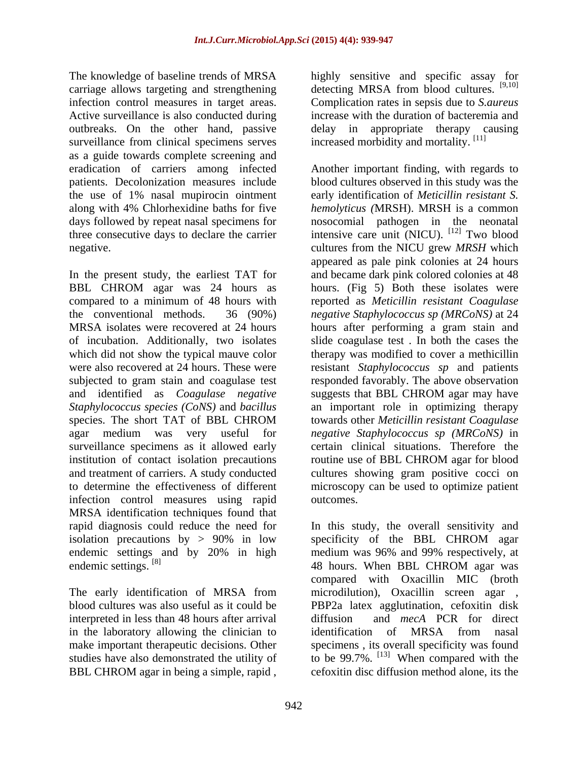The knowledge of baseline trends of MRSA highly sensitive and specific assay for carriage allows targeting and strengthening detecting MRSA from blood cultures. [9,10] infection control measures in target areas. Complication rates in sepsis due to *S.aureus* Active surveillance is also conducted during increase with the duration of bacteremia and outbreaks. On the other hand, passive delay in appropriate therapy causing surveillance from clinical specimens serves as a guide towards complete screening and patients. Decolonization measures include the use of 1% nasal mupirocin ointment

and identified as *Coagulase negative* surveillance specimens as it allowed early institution of contact isolation precautions routine use of BBL CHROM agar for blood infection control measures using rapid MRSA identification techniques found that isolation precautions by  $> 90\%$  in low specificity of the BBL CHROM agar endemic settings and by 20% in high medium was 96% and 99% respectively, at endemic settings. <sup>[8]</sup> 48 hours. When BBL CHROM agar was

interpreted in less than 48 hours after arrival diffusion and *mecA* PCR for direct in the laboratory allowing the clinician to identification of MRSA from nasal BBL CHROM agar in being a simple, rapid ,

increased morbidity and mortality. [11]

eradication of carriers among infected Another important finding, with regards to along with 4% Chlorhexidine baths for five *hemolyticus (*MRSH). MRSH is a common days followed by repeat nasal specimens for nosocomial pathogen in the neonatal three consecutive days to declare the carrier intensive care unit (NICU).  $^{[12]}$  Two blood negative. cultures from the NICU grew *MRSH* which In the present study, the earliest TAT for and became dark pink colored colonies at 48 BBL CHROM agar was 24 hours as hours. (Fig 5) Both these isolates were compared to a minimum of 48 hours with reported as *Meticillin resistant Coagulase* the conventional methods. 36 (90%) *negative Staphylococcus sp (MRCoNS)* at 24 MRSA isolates were recovered at 24 hours hours after performing a gram stain and of incubation. Additionally, two isolates slide coagulase test . In both the cases the which did not show the typical mauve color therapy was modified to cover a methicillin were also recovered at 24 hours. These were resistant *Staphylococcus sp* and patients subjected to gram stain and coagulase test responded favorably. The above observation *Staphylococcus species (CoNS)* and *bacillus* an important role in optimizing therapy species. The short TAT of BBL CHROM towards other *Meticillin resistant Coagulase* agar medium was very useful for *negative Staphylococcus sp (MRCoNS)* in and treatment of carriers. A study conducted cultures showing gram positive cocci on to determine the effectiveness of different microscopy can be used to optimize patient blood cultures observed in this study was the early identification of *Meticillin resistant S.* appeared as pale pink colonies at 24 hours hours. (Fig 5) Both these isolates were suggests that BBL CHROM agar may have towards other *Meticillin resistant Coagulase* certain clinical situations. Therefore the routine use of BBL CHROM agar for blood outcomes.

rapid diagnosis could reduce the need for In this study, the overall sensitivity and endemic settings and by 20% in high medium was 96% and 99% respectively, at The early identification of MRSA from microdilution), Oxacillin screen agar , blood cultures was also useful as it could be PBP2a latex agglutination, cefoxitin disk make important therapeutic decisions. Other specimens, its overall specificity was found studies have also demonstrated the utility of  $\qquad$  to be 99.7%. <sup>[13]</sup> When compared with the specificity of the BBL CHROM agar 48 hours. When BBL CHROM agar was compared with Oxacillin MIC (broth diffusion and *mecA* PCR for direct identification of MRSA from nasal cefoxitin disc diffusion method alone, its the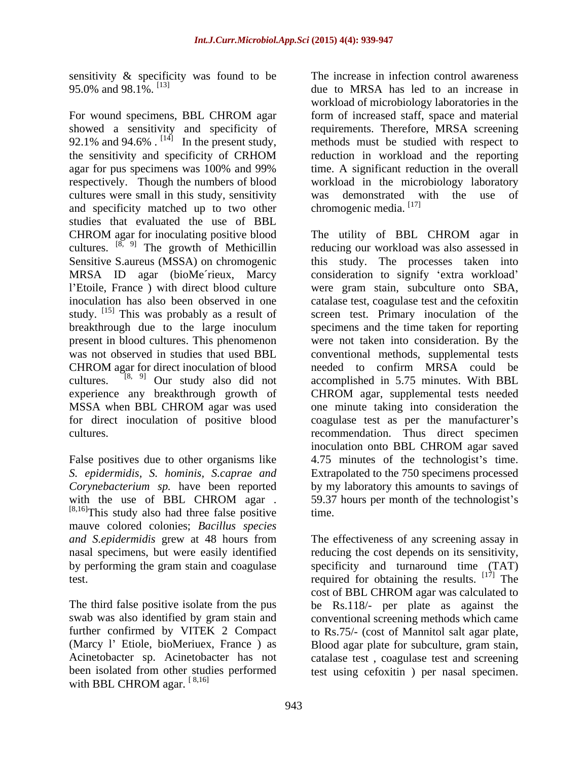sensitivity & specificity was found to be 95.0% and 98.1%.  $^{[13]}$ 

For wound specimens, BBL CHROM agar form of increased staff, space and material showed a sensitivity and specificity of requirements. Therefore, MRSA screening 92.1% and 94.6%  $\cdot$  <sup>[14]</sup> In the present study, methods must be studied with respect to the sensitivity and specificity of CRHOM agar for pus specimens was 100% and 99% time. A significant reduction in the overall respectively. Though the numbers of blood workload in the microbiology laboratory cultures were small in this study, sensitivity was demonstrated with the use of and specificity matched up to two other studies that evaluated the use of BBL cultures.  $[8, 9]$  The growth of Methicillin Sensitive S.aureus (MSSA) on chromogenic MRSA ID agar (bioMe´rieux, Marcy study. [15] This was probably as a result of for direct inoculation of positive blood

with the use of BBL CHROM agar . 59.37 hours per month of the technologist's  $^{[8,16]}$ This study also had three false positive time. mauve colored colonies; *Bacillus species*

(Marcy 1' Etiole, bioMeriuex, France) as Blood agar plate for subculture, gram stain, been isolated from other studies performed test using cefoxitin ) per nasal specimen.with BBL CHROM agar.  $[8,16]$ 

95.0% and 98.1%. [13] due to MRSA has led to an increase in The increase in infection control awareness workload of microbiology laboratories in the form of increased staff, space and material requirements. Therefore, MRSA screening methods must be studied with respect to reduction in workload and the reporting was demonstrated with the use of chromogenic media. [17]

CHROM agar for inoculating positive blood The utility of BBL CHROM agar in l'Etoile, France) with direct blood culture vere gram stain, subculture onto SBA, inoculation has also been observed in one catalase test, coagulase test and the cefoxitin breakthrough due to the large inoculum specimens and the time taken for reporting present in blood cultures. This phenomenon were not taken into consideration. By the was not observed in studies that used BBL conventional methods, supplemental tests CHROM agar for direct inoculation of blood needed to confirm MRSA could be cultures.  $[8, 9]$  Our study also did not accomplished in 5.75 minutes. With BBL experience any breakthrough growth of CHROM agar, supplemental tests needed MSSA when BBL CHROM agar was used one minute taking into consideration the cultures. recommendation. Thus direct specimen False positives due to other organisms like  $\qquad 4.75$  minutes of the technologist's time. *S. epidermidis, S. hominis, S.caprae and* Extrapolated to the 750 specimens processed *Corynebacterium sp.* have been reported by my laboratory this amounts to savings of reducing our workload was also assessed in this study. The processes taken into consideration to signify 'extra workload' screen test. Primary inoculation of the one minute taking into consideration the coagulase test as per the manufacturer's inoculation onto BBL CHROM agar saved 59.37 hours per month of the technologist's time.

*and S.epidermidis* grew at 48 hours from The effectiveness of any screening assay in nasal specimens, but were easily identified reducing the cost depends on its sensitivity, by performing the gram stain and coagulase specificity and turnaround time (TAT) test. required for obtaining the results. [17] The The third false positive isolate from the pus be Rs.118/- per plate as against the swab was also identified by gram stain and conventional screening methods which came further confirmed by VITEK 2 Compact to Rs.75/- (cost of Mannitol salt agar plate, Acinetobacter sp. Acinetobacter has not catalase test , coagulase test and screening cost of BBL CHROM agar was calculated to Blood agar plate for subculture, gram stain,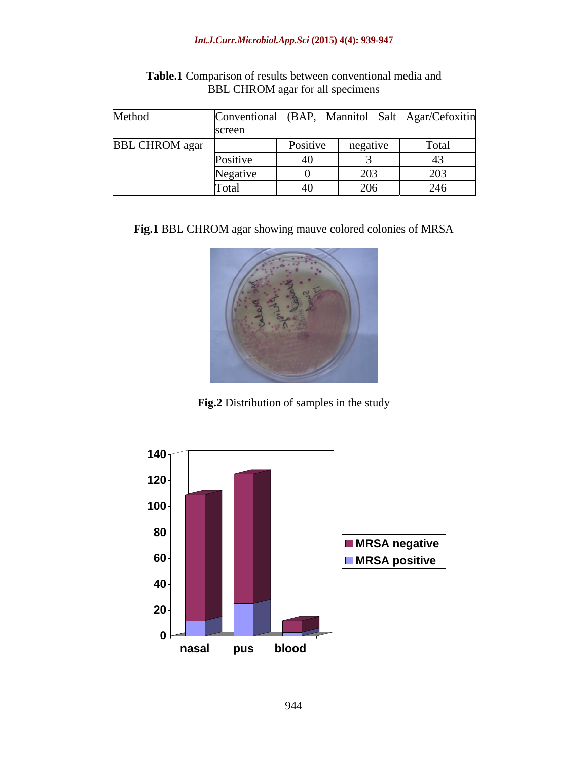### *Int.J.Curr.Microbiol.App.Sci* **(2015) 4(4): 939-947**

| Method                | Conventional (BAP, |          |          | , Mannitol Salt Agar/Cefoxitin |
|-----------------------|--------------------|----------|----------|--------------------------------|
|                       | screen             |          |          |                                |
| <b>BBL CHROM</b> agar |                    | Positive | negative | Total                          |
|                       | Positive           | 40       |          |                                |
|                       | Negative           |          | 203      | 203                            |
|                       | [Fotal]            | 40       | 206      | 246                            |

**Table.1** Comparison of results between conventional media and BBL CHROM agar for all specimens

**Fig.1** BBL CHROM agar showing mauve colored colonies of MRSA



**Fig.2** Distribution of samples in the study

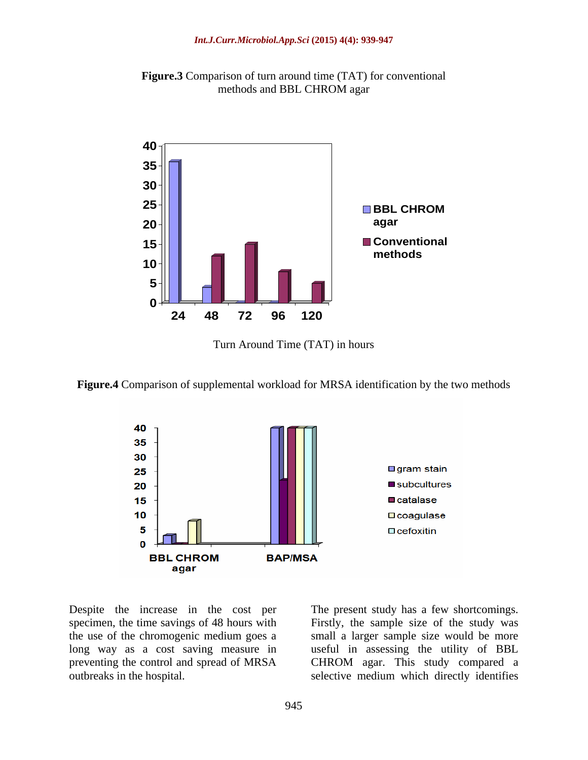



Turn Around Time (TAT) in hours





Despite the increase in the cost per The present study has a few shortcomings. specimen, the time savings of 48 hours with Firstly, the sample size of the study was the use of the chromogenic medium goes a small a larger sample size would be more long way as a cost saving measure in useful in assessing the utility of BBL preventing the control and spread of MRSA CHROM agar. This study compared a outbreaks in the hospital. selective medium which directly identifies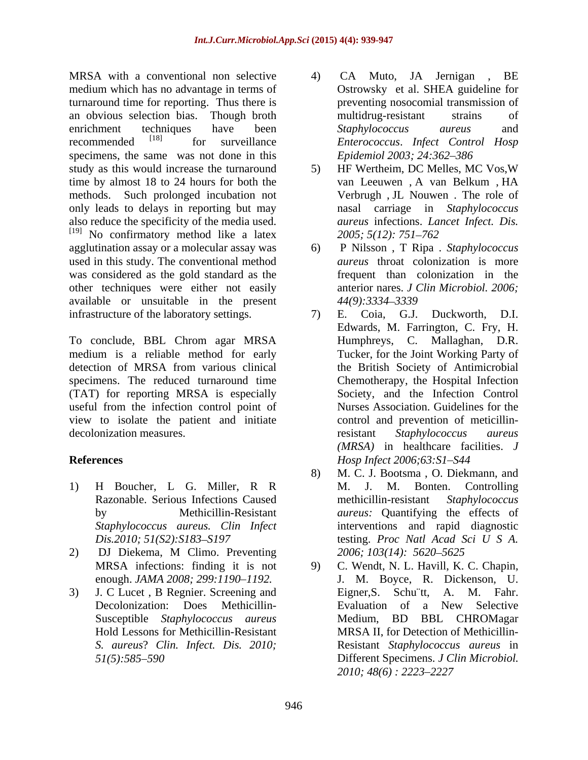MRSA with a conventional non selective  $\overline{a}$  CA Muto, JA Jernigan, BE medium which has no advantage in terms of turnaround time for reporting. Thus there is an obvious selection bias. Though broth enrichment techniques have been Staphylococcus aureus and recommended [18] for surveillance *Enterococcus*. *Infect Control Hosp* specimens, the same was not done in this study as this would increase the turnaround 5) HF Wertheim, DC Melles, MC Vos, W time by almost 18 to 24 hours for both the van Leeuwen, A van Belkum, HA methods. Such prolonged incubation not only leads to delays in reporting but may also reduce the specificity of the media used. <sup>[19]</sup> No confirmatory method like a latex  $2005$ ;  $5(12)$ :  $751-762$ agglutination assay or a molecular assay was used in this study. The conventional method was considered as the gold standard as the other techniques were either not easily available or unsuitable in the present infrastructure of the laboratory settings.  $\qquad \qquad$  7) E. Coia, G.J. Duckworth, D.I.

To conclude, BBL Chrom agar MRSA medium is a reliable method for early specimens. The reduced turnaround time (TAT) for reporting MRSA is especially useful from the infection control point of view to isolate the patient and initiate decolonization measures. The existent staphylococcus aureus

- 
- 2) DJ Diekema, M Climo. Preventing 2006; 103(14): 5620–5625
- Hold Lessons for Methicillin-Resistant
- 4) CA Muto, JA Jernigan , BE Ostrowsky et al. SHEA guideline for preventing nosocomial transmission of multidrug-resistant strains of *Staphylococcus aureus* and *Epidemiol 2003; 24:362 386*
- 5) HF Wertheim, DC Melles, MC Vos,W van Leeuwen , A van Belkum , HA Verbrugh , JL Nouwen . The role of nasal carriage in *Staphylococcus aureus* infections. *Lancet Infect. Dis. 2005; 5(12): 751 762*
- 6) P Nilsson , T Ripa . *Staphylococcus aureus* throat colonization is more frequent than colonization in the anterior nares. *J Clin Microbiol. 2006; 44(9):3334 3339*
- detection of MRSA from various clinical the British Society of Antimicrobial **References** *Hosp Infect 2006;63:S1 S44* 7) E. Coia, G.J. Duckworth, D.I. Edwards, M. Farrington, C. Fry, H. Humphreys, C. Mallaghan, D.R. Tucker, for the Joint Working Party of the British Society of Antimicrobial Chemotherapy, the Hospital Infection Society, and the Infection Control Nurses Association. Guidelines for the control and prevention of meticillinresistant *Staphylococcus aureus (MRSA)* in healthcare facilities. *J*
- 1) H Boucher, L G. Miller, R R Razonable. Serious Infections Caused methicillin-resistant Staphylococcus by Methicillin-Resistant *aureus:* Quantifying the effects of *Staphylococcus aureus. Clin Infect* interventions and rapid diagnostic *Dis.2010; 51(S2): S183–S197* **b** testing. *Proc Natl Acad Sci U S A.* 8) M. C. J. Bootsma , O. Diekmann, and M. J. M. Bonten. Controlling methicillin-resistant *Staphylococcus* testing. *Proc Natl Acad Sci U S A. 2006; 103(14): 5620 5625*
- MRSA infections: finding it is not 9) C. Wendt, N. L. Havill, K. C. Chapin, enough. *JAMA 2008; 299:1190 1192.* J. M. Boyce, R. Dickenson, U. 3) J. C Lucet , B Regnier. Screening and Decolonization: Does Methicillin- Susceptible *Staphylococcus aureus S. aureus*? *Clin. Infect. Dis. 2010;* Resistant *Staphylococcus aureus* in *51(5):585 590* Different Specimens. *J Clin Microbiol.*  Eigner,S. Schu¨tt, A. M. Fahr. Evaluation of a New Selective Medium, BD BBL CHROMagar MRSA II, for Detection of Methicillin- *2010; 48(6) : 2223 2227*